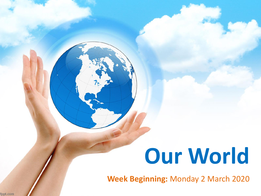# **Our World**

**Week Beginning:** Monday 2 March 2020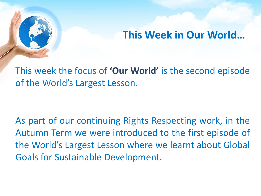# **This Week in Our World…**

This week the focus of **'Our World'** is the second episode of the World's Largest Lesson.

As part of our continuing Rights Respecting work, in the Autumn Term we were introduced to the first episode of the World's Largest Lesson where we learnt about Global Goals for Sustainable Development.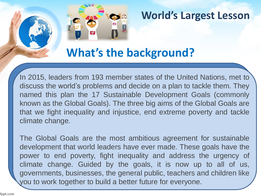

#### **World's Largest Lesson**

# **What's the background?**

In 2015, leaders from 193 member states of the United Nations, met to discuss the world's problems and decide on a plan to tackle them. They named this plan the 17 Sustainable Development Goals (commonly known as the Global Goals). The three big aims of the Global Goals are that we fight inequality and injustice, end extreme poverty and tackle climate change.

The Global Goals are the most ambitious agreement for sustainable development that world leaders have ever made. These goals have the power to end poverty, fight inequality and address the urgency of climate change. Guided by the goals, it is now up to all of us, governments, businesses, the general public, teachers and children like you to work together to build a better future for everyone.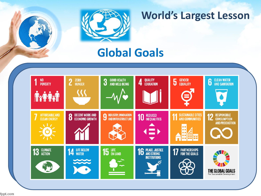

### **World's Largest Lesson**

# **Global Goals**



fppt.com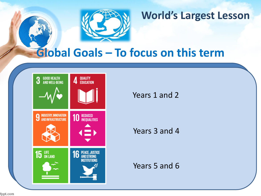

### **World's Largest Lesson**

# **Global Goals – To focus on this term**



Years 1 and 2

Years 3 and 4

Years 5 and 6

fppt.com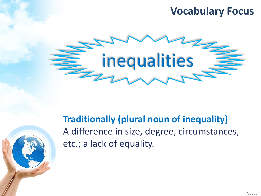# **Vocabulary Focus**



**Traditionally (plural noun of inequality)** A difference in size, degree, circumstances, etc.; a lack of equality.